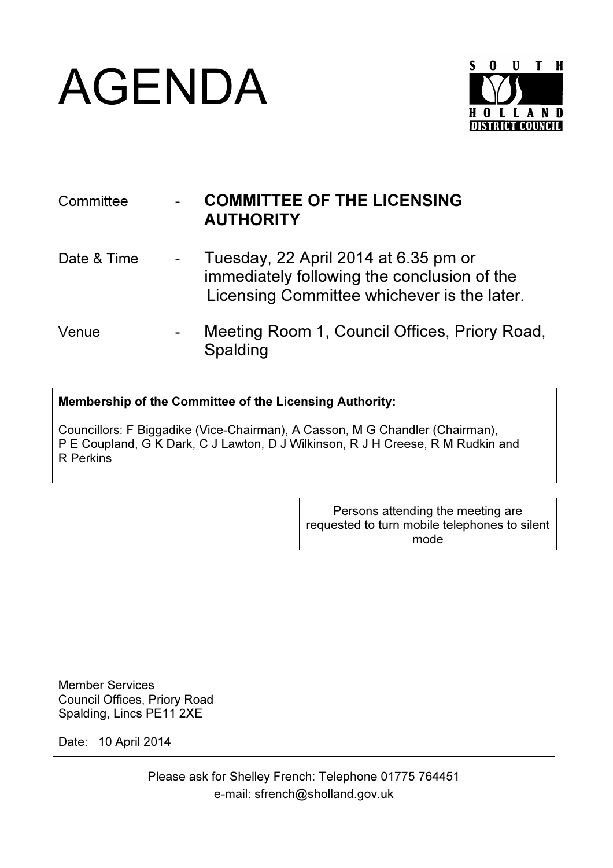



| Committee   | <b>COMMITTEE OF THE LICENSING</b><br><b>AUTHORITY</b>                                                                              |
|-------------|------------------------------------------------------------------------------------------------------------------------------------|
| Date & Time | Tuesday, 22 April 2014 at 6.35 pm or<br>immediately following the conclusion of the<br>Licensing Committee whichever is the later. |
| Venue       | Meeting Room 1, Council Offices, Priory Road,<br>Spalding                                                                          |

## Membership of the Committee of the Licensing Authority:

Councillors: F Biggadike (Vice-Chairman), A Casson, M G Chandler (Chairman), P E Coupland, G K Dark, C J Lawton, D J Wilkinson, R J H Creese, R M Rudkin and R Perkins

> Persons attending the meeting are requested to turn mobile telephones to silent mode

Member Services Council Offices, Priory Road Spalding, Lincs PE11 2XE

Date: 10 April 2014

Please ask for Shelley French: Telephone 01775 764451 e-mail: sfrench@sholland.gov.uk